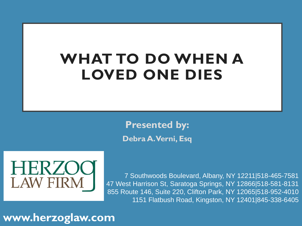# **WHAT TO DO WHEN A LOVED ONE DIES**

**Presented by: Debra A. Verni, Esq**



7 Southwoods Boulevard, Albany, NY 12211|518-465-7581 47 West Harrison St, Saratoga Springs, NY 12866|518-581-8131 855 Route 146, Suite 220, Clifton Park, NY 12065|518-952-4010 1151 Flatbush Road, Kingston, NY 12401|845-338-6405

**www.herzoglaw.com**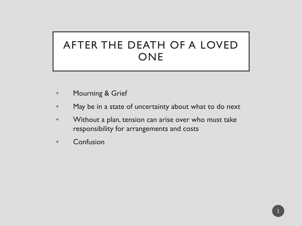### AFTER THE DEATH OF A LOVED ONE

- Mourning & Grief
- May be in a state of uncertainty about what to do next
- Without a plan, tension can arise over who must take responsibility for arrangements and costs
- **Confusion**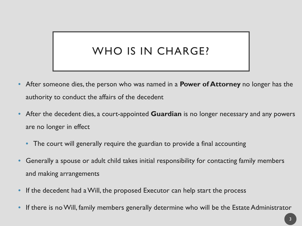## WHO IS IN CHARGE?

- After someone dies, the person who was named in a **Power of Attorney** no longer has the authority to conduct the affairs of the decedent
- After the decedent dies, a court-appointed **Guardian** is no longer necessary and any powers are no longer in effect
	- The court will generally require the guardian to provide a final accounting
- Generally a spouse or adult child takes initial responsibility for contacting family members and making arrangements
- If the decedent had a Will, the proposed Executor can help start the process
- If there is no Will, family members generally determine who will be the Estate Administrator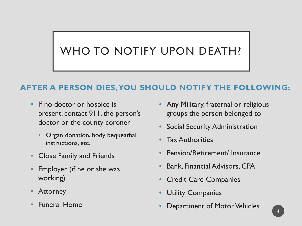## WHO TO NOTIFY UPON DEATH?

#### **AFTER A PERSON DIES, YOU SHOULD NOTIFY THE FOLLOWING:**

- If no doctor or hospice is present, contact 911, the person's doctor or the county coroner
	- Organ donation, body bequeathal instructions, etc.
- Close Family and Friends
- Employer (if he or she was working)
- **Attorney**
- Funeral Home
- Any Military, fraternal or religious groups the person belonged to
- Social Security Administration
- **Tax Authorities**
- Pension/Retirement/ Insurance
- Bank, Financial Advisors, CPA
- Credit Card Companies
- **Utility Companies**
- Department of Motor Vehicles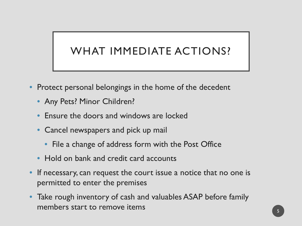## WHAT IMMEDIATE ACTIONS?

- Protect personal belongings in the home of the decedent
	- Any Pets? Minor Children?
	- Ensure the doors and windows are locked
	- Cancel newspapers and pick up mail
		- File a change of address form with the Post Office
	- Hold on bank and credit card accounts
- If necessary, can request the court issue a notice that no one is permitted to enter the premises
- Take rough inventory of cash and valuables ASAP before family members start to remove items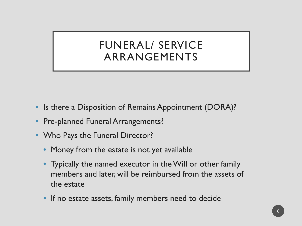#### FUNERAL/ SERVICE ARRANGEMENTS

- Is there a Disposition of Remains Appointment (DORA)?
- Pre-planned Funeral Arrangements?
- Who Pays the Funeral Director?
	- Money from the estate is not yet available
	- Typically the named executor in the Will or other family members and later, will be reimbursed from the assets of the estate
	- If no estate assets, family members need to decide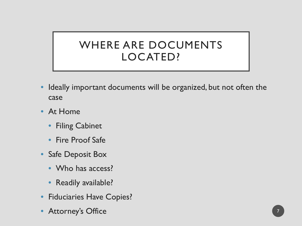#### WHERE ARE DOCUMENTS LOCATED?

- Ideally important documents will be organized, but not often the case
- At Home
	- Filing Cabinet
	- Fire Proof Safe
- Safe Deposit Box
	- Who has access?
	- Readily available?
- Fiduciaries Have Copies?
- Attorney's Office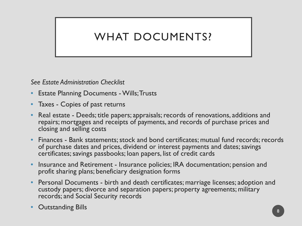## WHAT DOCUMENTS?

*See Estate Administration Checklist*

- **Estate Planning Documents Wills; Trusts**
- Taxes Copies of past returns
- Real estate Deeds; title papers; appraisals; records of renovations, additions and repairs; mortgages and receipts of payments, and records of purchase prices and closing and selling costs
- Finances Bank statements; stock and bond certificates; mutual fund records; records of purchase dates and prices, dividend or interest payments and dates; savings certificates; savings passbooks; loan papers, list of credit cards
- Insurance and Retirement Insurance policies; IRA documentation; pension and profit sharing plans; beneficiary designation forms
- Personal Documents birth and death certificates; marriage licenses; adoption and custody papers; divorce and separation papers; property agreements; military records; and Social Security records

**Outstanding Bills**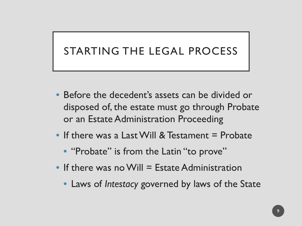#### STARTING THE LEGAL PROCESS

- Before the decedent's assets can be divided or disposed of, the estate must go through Probate or an Estate Administration Proceeding
- If there was a Last Will & Testament = Probate
	- "Probate" is from the Latin "to prove"
- $\bullet$  If there was no Will = Estate Administration
	- Laws of *Intestacy* governed by laws of the State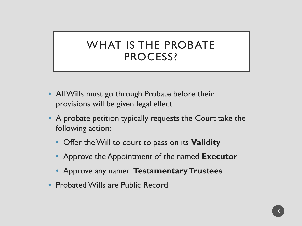#### WHAT IS THE PROBATE PROCESS?

- All Wills must go through Probate before their provisions will be given legal effect
- A probate petition typically requests the Court take the following action:
	- Offer the Will to court to pass on its **Validity**
	- Approve the Appointment of the named **Executor**
	- Approve any named **Testamentary Trustees**
- Probated Wills are Public Record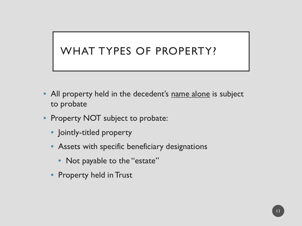#### WHAT TYPES OF PROPERTY?

- All property held in the decedent's name alone is subject to probate
- Property NOT subject to probate:
	- Jointly-titled property
	- Assets with specific beneficiary designations
		- Not payable to the "estate"
	- Property held in Trust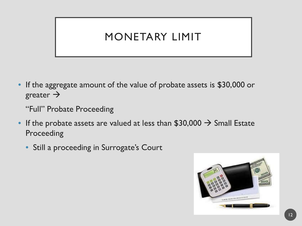#### MONETARY LIMIT

• If the aggregate amount of the value of probate assets is \$30,000 or greater  $\rightarrow$ 

"Full" Probate Proceeding

- If the probate assets are valued at less than  $$30,000 \rightarrow$  Small Estate Proceeding
	- Still a proceeding in Surrogate's Court

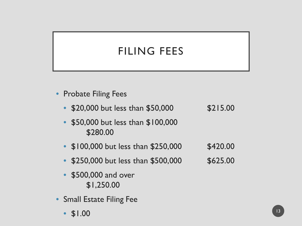## FILING FEES

- **Probate Filing Fees** 
	- \$20,000 but less than \$50,000 \$215.00
	- \$50,000 but less than \$100,000 \$280.00
	- $$100,000$  but less than  $$250,000$   $$420.00$
	- \$250,000 but less than \$500,000 \$625.00
	- \$500,000 and over \$1,250.00
- Small Estate Filing Fee
	- $$1.00$  13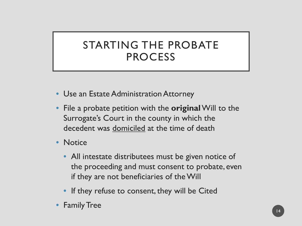#### STARTING THE PROBATE PROCESS

- Use an Estate Administration Attorney
- File a probate petition with the **original**Will to the Surrogate's Court in the county in which the decedent was domiciled at the time of death
- Notice
	- All intestate distributees must be given notice of the proceeding and must consent to probate, even if they are not beneficiaries of the Will
	- If they refuse to consent, they will be Cited
- **Family Tree**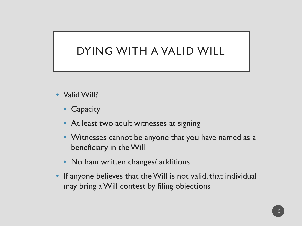#### DYING WITH A VALID WILL

- Valid Will?
	- **Capacity**
	- At least two adult witnesses at signing
	- Witnesses cannot be anyone that you have named as a beneficiary in the Will
	- No handwritten changes/ additions
- If anyone believes that the Will is not valid, that individual may bring a Will contest by filing objections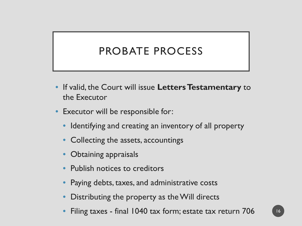#### PROBATE PROCESS

- If valid, the Court will issue **Letters Testamentary** to the Executor
- Executor will be responsible for:
	- Identifying and creating an inventory of all property
	- Collecting the assets, accountings
	- Obtaining appraisals
	- Publish notices to creditors
	- Paying debts, taxes, and administrative costs
	- Distributing the property as the Will directs
	- Filing taxes final 1040 tax form; estate tax return 706 16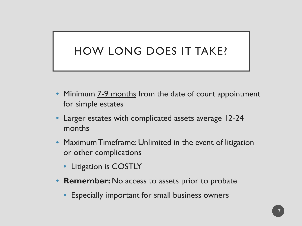## HOW LONG DOES IT TAKE?

- Minimum 7-9 months from the date of court appointment for simple estates
- Larger estates with complicated assets average 12-24 months
- Maximum Timeframe: Unlimited in the event of litigation or other complications
	- Litigation is COSTLY
- **Remember:** No access to assets prior to probate
	- Especially important for small business owners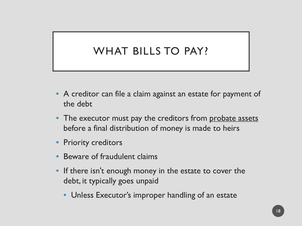### WHAT BILLS TO PAY?

- A creditor can file a claim against an estate for payment of the debt
- The executor must pay the creditors from probate assets before a final distribution of money is made to heirs
- Priority creditors
- Beware of fraudulent claims
- If there isn't enough money in the estate to cover the debt, it typically goes unpaid
	- Unless Executor's improper handling of an estate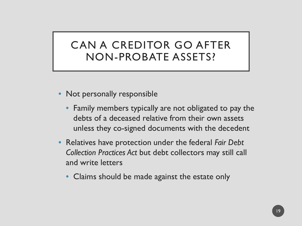#### CAN A CREDITOR GO AFTER NON-PROBATE ASSETS?

- Not personally responsible
	- Family members typically are not obligated to pay the debts of a deceased relative from their own assets unless they co-signed documents with the decedent
- Relatives have protection under the federal *Fair Debt Collection Practices Act* but debt collectors may still call and write letters
	- Claims should be made against the estate only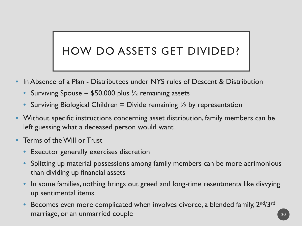## HOW DO ASSETS GET DIVIDED?

- In Absence of a Plan Distributees under NYS rules of Descent & Distribution
	- Surviving Spouse =  $$50,000$  plus  $\frac{1}{2}$  remaining assets
	- Surviving Biological Children = Divide remaining  $\frac{1}{2}$  by representation
- Without specific instructions concerning asset distribution, family members can be left guessing what a deceased person would want
- Terms of the Will or Trust
	- Executor generally exercises discretion
	- Splitting up material possessions among family members can be more acrimonious than dividing up financial assets
	- In some families, nothing brings out greed and long-time resentments like divvying up sentimental items
	- Becomes even more complicated when involves divorce, a blended family,  $2^{nd}/3^{rd}$ marriage, or an unmarried couple 20 and 20 and 20 and 20 and 20 and 20 and 20 and 20 and 20 and 20 and 20 and 20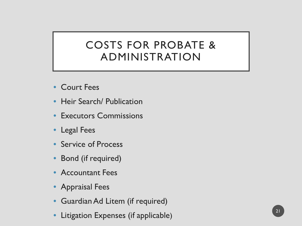#### COSTS FOR PROBATE & ADMINISTRATION

- Court Fees
- Heir Search/ Publication
- Executors Commissions
- Legal Fees
- Service of Process
- Bond (if required)
- Accountant Fees
- Appraisal Fees
- Guardian Ad Litem (if required)
- Litigation Expenses (if applicable)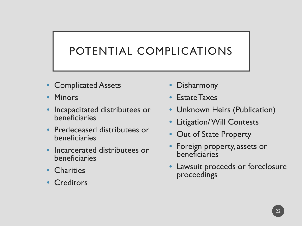## POTENTIAL COMPLICATIONS

- Complicated Assets
- Minors
- Incapacitated distributees or beneficiaries
- Predeceased distributees or beneficiaries
- Incarcerated distributees or beneficiaries
- Charities
- Creditors
- **Disharmony**
- Estate Taxes
- Unknown Heirs (Publication)
- Litigation/ Will Contests
- Out of State Property
- Foreign property, assets or beneficiaries
- Lawsuit proceeds or foreclosure proceedings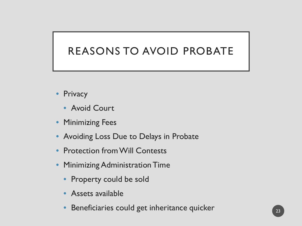#### REASONS TO AVOID PROBATE

- Privacy
	- Avoid Court
- Minimizing Fees
- Avoiding Loss Due to Delays in Probate
- **Protection from Will Contests**
- Minimizing Administration Time
	- Property could be sold
	- Assets available
	- Beneficiaries could get inheritance quicker 23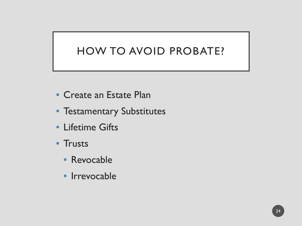#### HOW TO AVOID PROBATE?

- Create an Estate Plan
- Testamentary Substitutes
- Lifetime Gifts
- Trusts
	- Revocable
	- Irrevocable